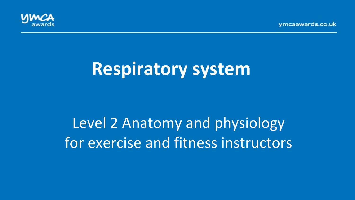

# **Respiratory system**

# Level 2 Anatomy and physiology for exercise and fitness instructors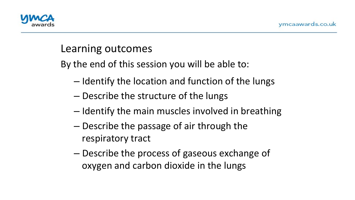

## Learning outcomes

By the end of this session you will be able to:

- $-$  Identify the location and function of the lungs
- Describe the structure of the lungs
- $-$  Identify the main muscles involved in breathing
- $-$  Describe the passage of air through the respiratory tract
- $-$  Describe the process of gaseous exchange of oxygen and carbon dioxide in the lungs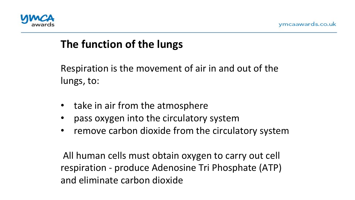

# **The function of the lungs**

Respiration is the movement of air in and out of the lungs, to:

- take in air from the atmosphere
- pass oxygen into the circulatory system
- remove carbon dioxide from the circulatory system

All human cells must obtain oxygen to carry out cell respiration - produce Adenosine Tri Phosphate (ATP) and eliminate carbon dioxide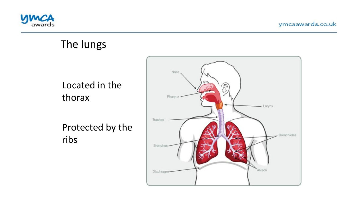

## The lungs

Located in the thorax 

Protected by the ribs

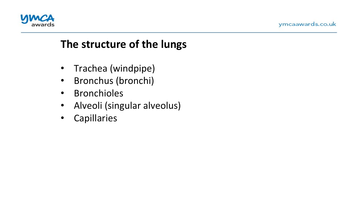



# The structure of the lungs

- Trachea (windpipe)
- Bronchus (bronchi)
- Bronchioles
- Alveoli (singular alveolus)
- Capillaries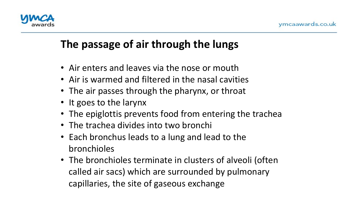

# **The passage of air through the lungs**

- Air enters and leaves via the nose or mouth
- Air is warmed and filtered in the nasal cavities
- The air passes through the pharynx, or throat
- It goes to the larynx
- The epiglottis prevents food from entering the trachea
- The trachea divides into two bronchi
- Each bronchus leads to a lung and lead to the bronchioles
- The bronchioles terminate in clusters of alveoli (often called air sacs) which are surrounded by pulmonary capillaries, the site of gaseous exchange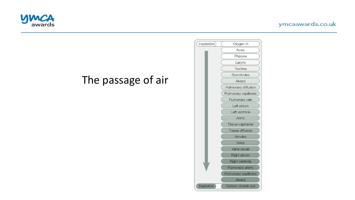





# The passage of air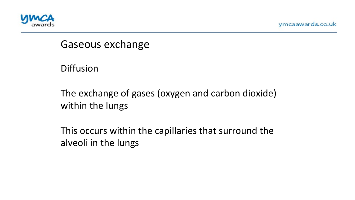

Gaseous exchange

Diffusion 

The exchange of gases (oxygen and carbon dioxide) within the lungs

This occurs within the capillaries that surround the alveoli in the lungs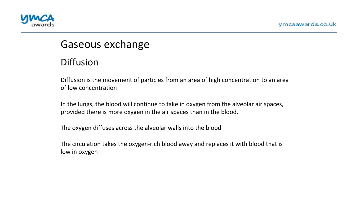



## Gaseous exchange

#### Diffusion

Diffusion is the movement of particles from an area of high concentration to an area of low concentration

In the lungs, the blood will continue to take in oxygen from the alveolar air spaces, provided there is more oxygen in the air spaces than in the blood.

The oxygen diffuses across the alveolar walls into the blood

The circulation takes the oxygen-rich blood away and replaces it with blood that is low in oxygen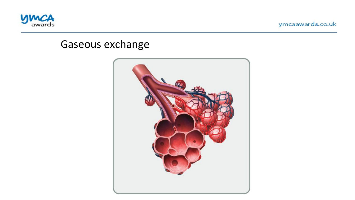

## Gaseous exchange

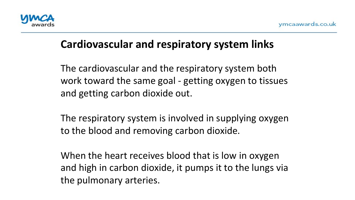

# **Cardiovascular and respiratory system links**

The cardiovascular and the respiratory system both work toward the same goal - getting oxygen to tissues and getting carbon dioxide out.

The respiratory system is involved in supplying oxygen to the blood and removing carbon dioxide.

When the heart receives blood that is low in oxygen and high in carbon dioxide, it pumps it to the lungs via the pulmonary arteries.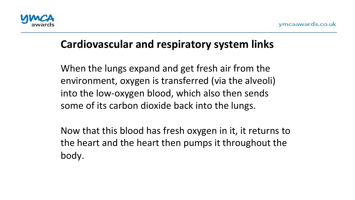

# **Cardiovascular and respiratory system links**

When the lungs expand and get fresh air from the environment, oxygen is transferred (via the alveoli) into the low-oxygen blood, which also then sends some of its carbon dioxide back into the lungs.

Now that this blood has fresh oxygen in it, it returns to the heart and the heart then pumps it throughout the body.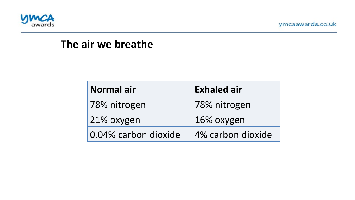

## The air we breathe

| Normal air           | <b>Exhaled air</b> |
|----------------------|--------------------|
| 78% nitrogen         | 78% nitrogen       |
| 21% oxygen           | 16% oxygen         |
| 0.04% carbon dioxide | 4% carbon dioxide  |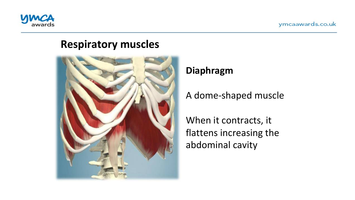

### **Respiratory muscles**



#### **Diaphragm**

A dome-shaped muscle

When it contracts, it flattens increasing the abdominal cavity